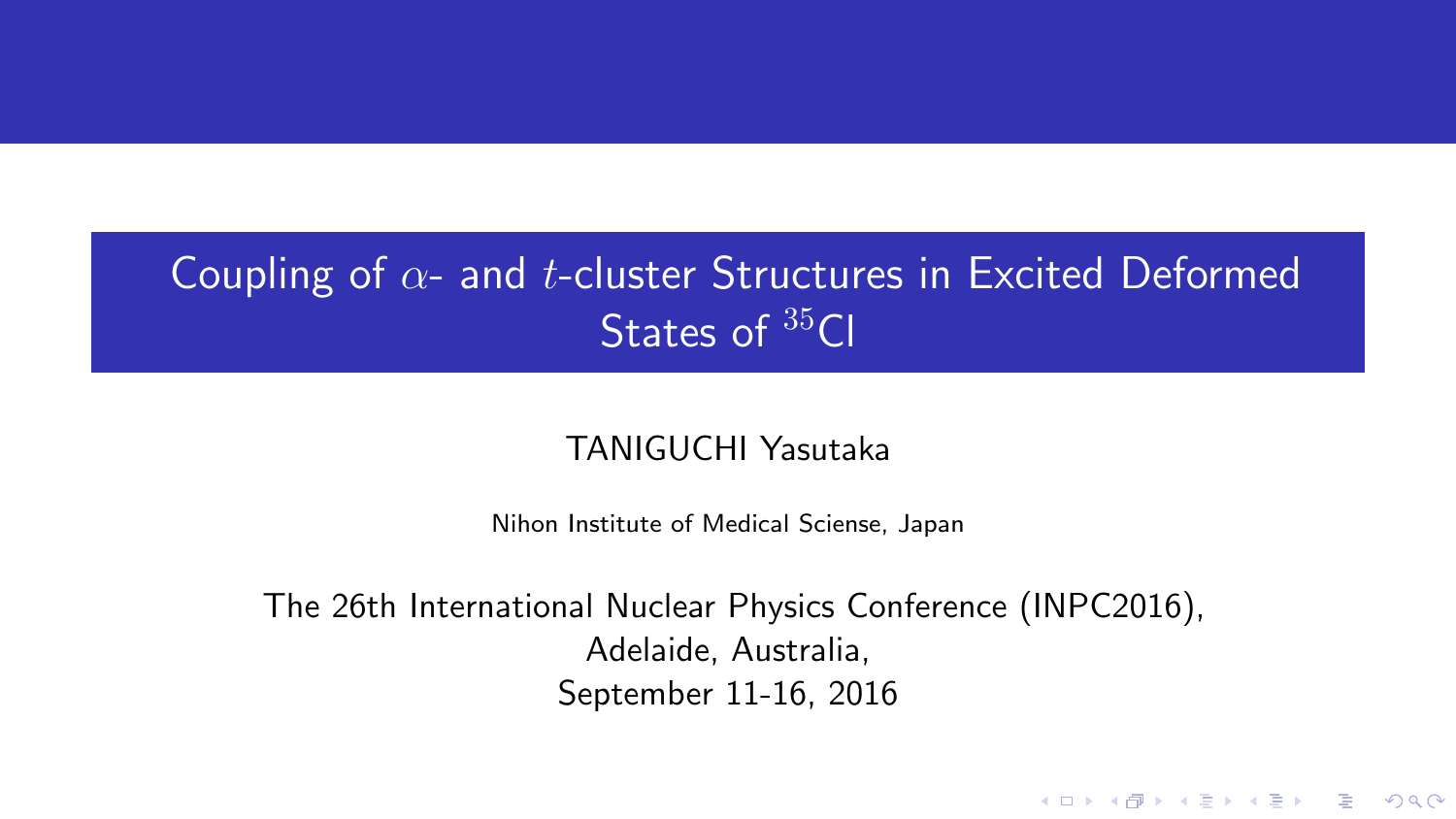# Coupling of *α*- and *t*-cluster Structures in Excited Deformed States of <sup>35</sup>Cl

### TANIGUCHI Yasutaka

Nihon Institute of Medical Sciense, Japan

The 26th International Nuclear Physics Conference (INPC2016), Adelaide, Australia, September 11-16, 2016

K ロ ▶ K @ ▶ K 할 ▶ K 할 ▶ | 할 | © 9 Q @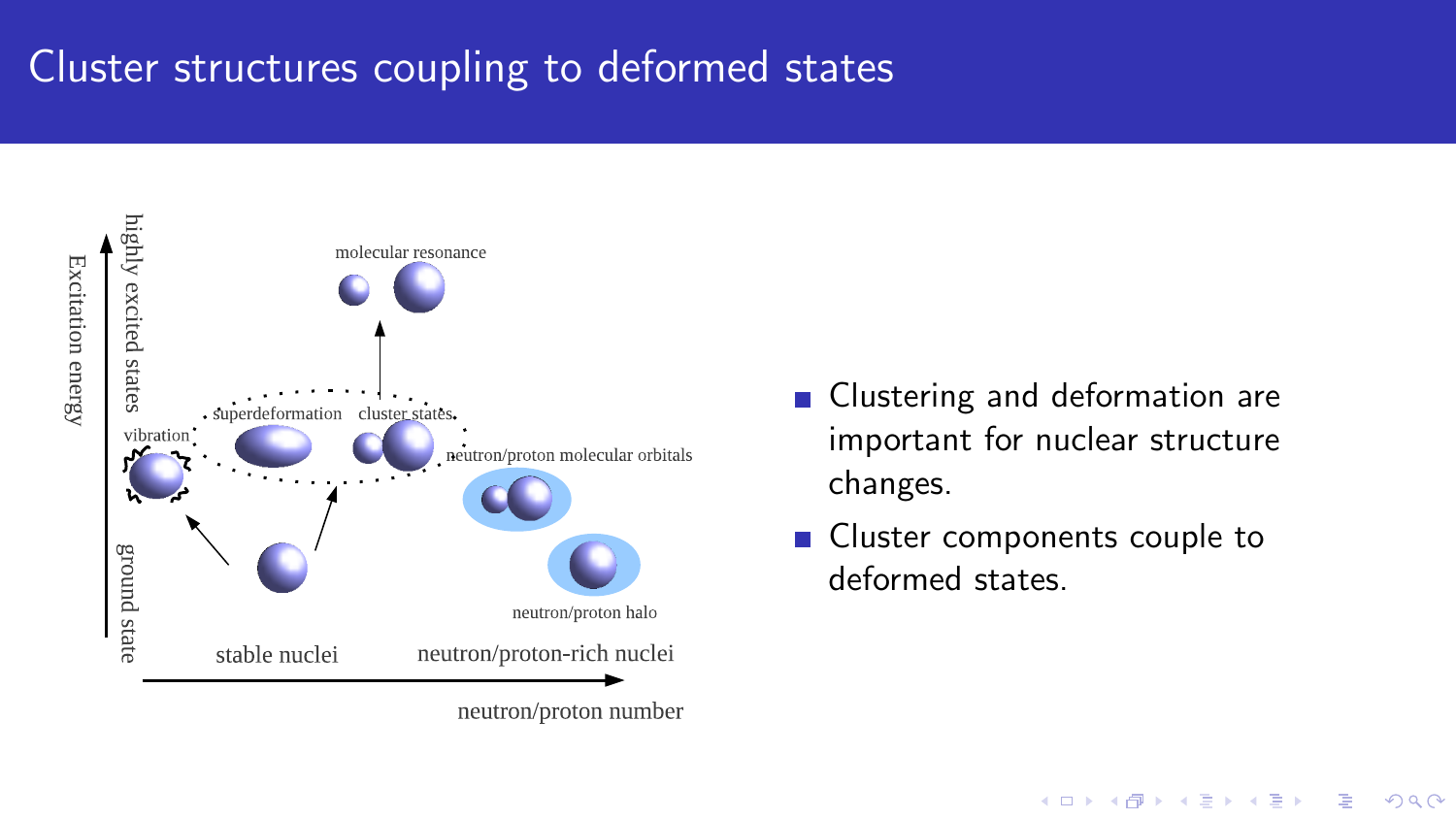# Cluster structures coupling to deformed states



neutron/proton number

- Clustering and deformation are important for nuclear structure changes.
- Cluster components couple to deformed states.

**KED KAP KED KED E LOQO**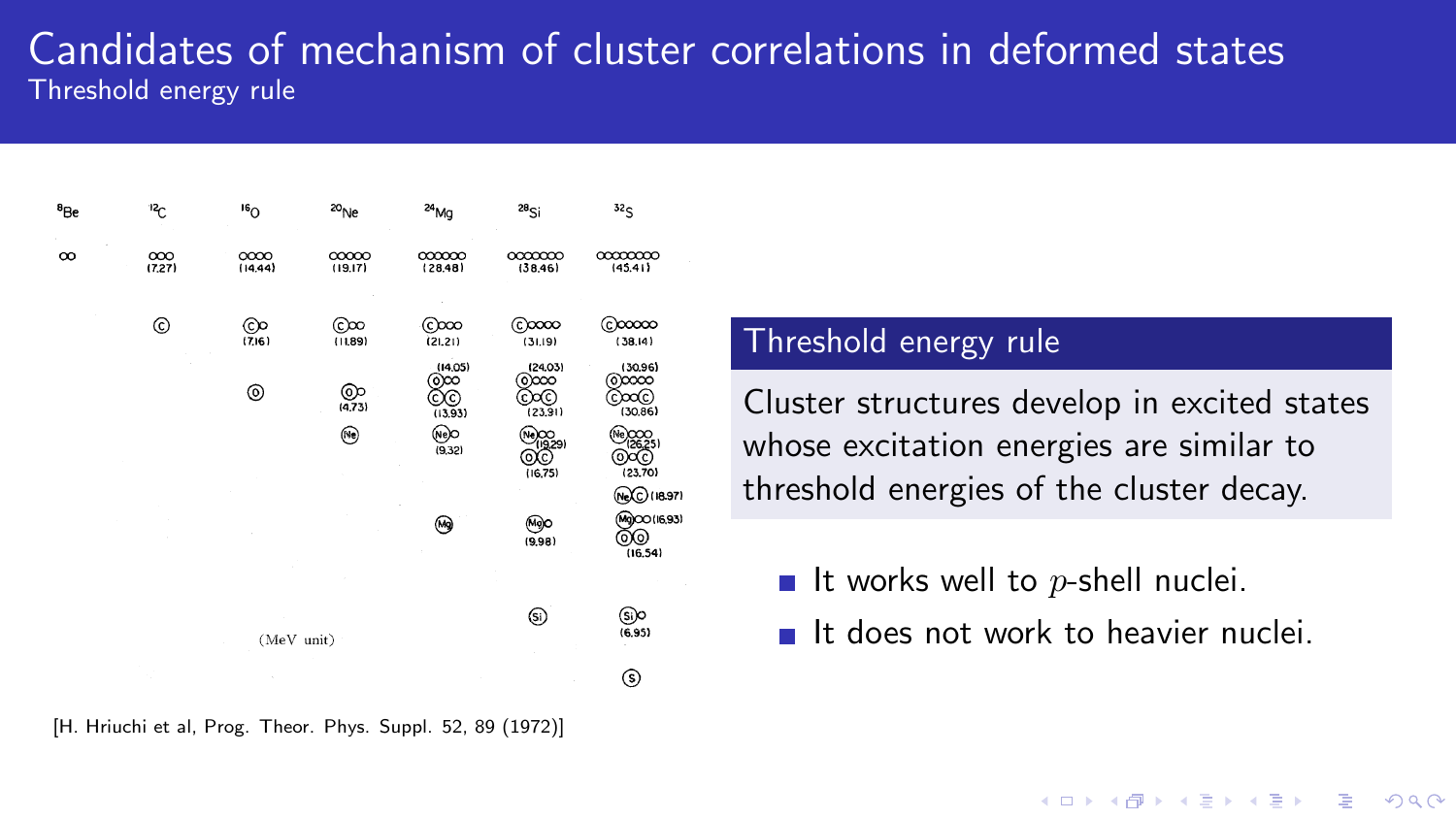### Candidates of mechanism of cluster correlations in deformed states Threshold energy rule

| <sup>8</sup> Be | 12 <sub>C</sub> | 16 <sub>O</sub> | $^{20}$ Ne       | 24 <sub>Mg</sub>               | $28$ Si                           | 32 <sub>S</sub>                                   |
|-----------------|-----------------|-----------------|------------------|--------------------------------|-----------------------------------|---------------------------------------------------|
| $\infty$        | 000<br>(7.27)   | OOOO<br>(14.44) | 00000<br>(19.17) | 000000<br>(28.48)              | CCCCCCC<br>(38.46)                | 00000000<br>(45.41)                               |
|                 | ⊚               | ලං<br>(7.16)    | ©∞<br>(1.89)     | $_{\odot}$ ∞<br>(21.21)        | (င)ထထ<br>(31.19)                  | ©∞∞<br>(38.14)                                    |
|                 |                 | ⊚               | $@>{(4,73)}$     | (14.05)<br>രയ<br>OC<br>(13.93) | (24.03)<br>രയ<br>වංග<br>(23.91)   | (30.96)<br>രായ<br><u>ටංගල</u><br>(30.86)          |
|                 |                 |                 | ⊛                | @⊘<br>(9.32)                   | Ne)OO<br>(1929)<br>OC<br>(16, 75) | Ne) 0000<br>(26.25)<br>⊙∝⊙<br>(23.70)             |
|                 |                 |                 |                  | ⊛                              | ⊛⊙<br>(9.98)                      | (NeXC) (18.97)<br>(Mg)CO (16,93)<br>@@<br>(16.54) |
|                 |                 |                 |                  |                                |                                   |                                                   |
| (MeV unit)      |                 |                 |                  |                                | ⊛                                 | S)o<br>(6.95)                                     |
|                 |                 |                 |                  |                                |                                   | ⊚                                                 |

[H. Hriuchi et al, Prog. Theor. Phys. Suppl. 52, 89 (1972)]

#### Threshold energy rule

Cluster structures develop in excited states whose excitation energies are similar to threshold energies of the cluster decay.

- It works well to  $p$ -shell nuclei.
- It does not work to heavier nuclei

**KED KAP KED KED E LOQO**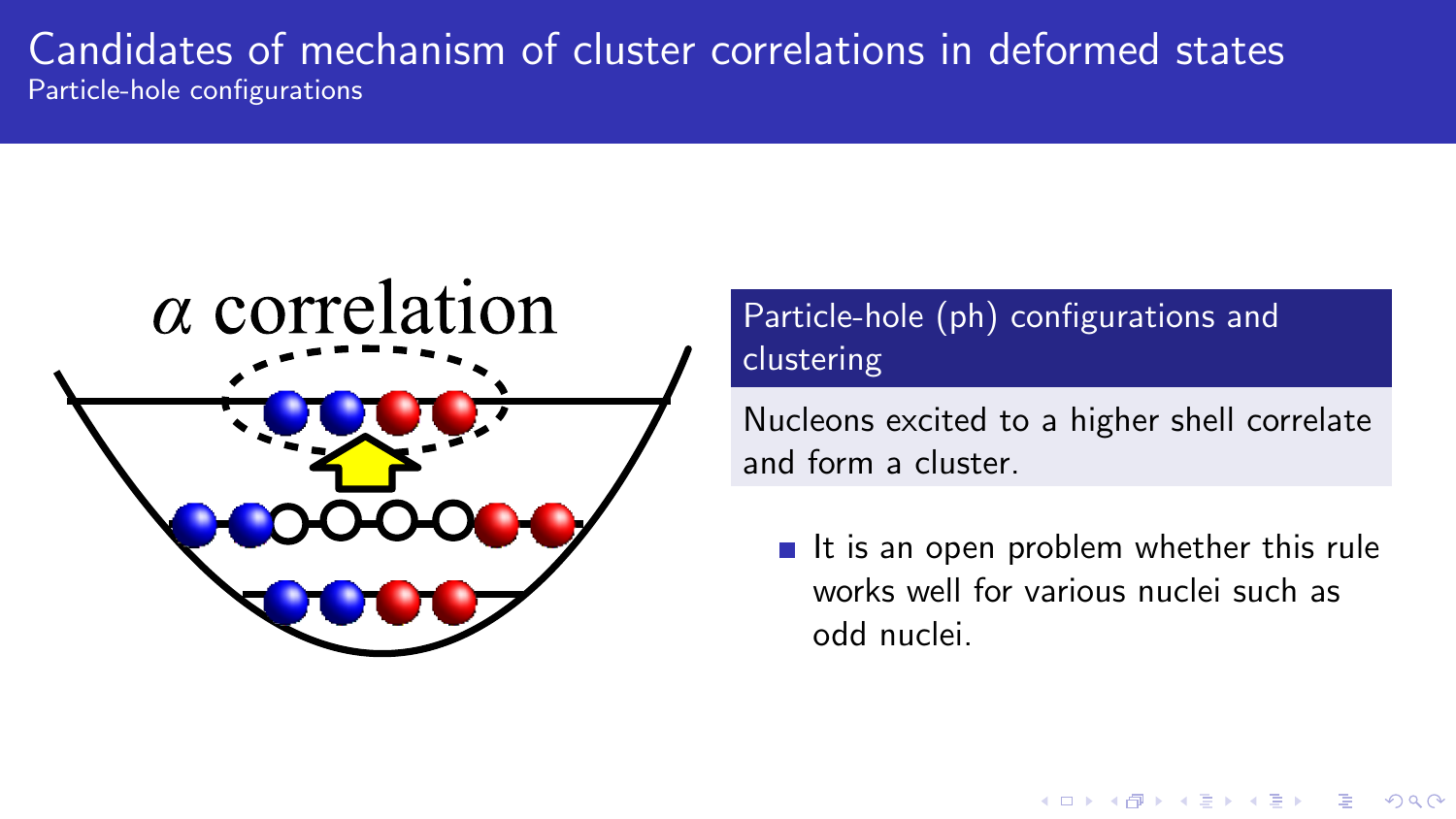### Candidates of mechanism of cluster correlations in deformed states Particle-hole configurations



## Particle-hole (ph) configurations and clustering

Nucleons excited to a higher shell correlate and form a cluster.

 $\blacksquare$  It is an open problem whether this rule works well for various nuclei such as odd nuclei.

**KORK STRAIN A BAR SHOP**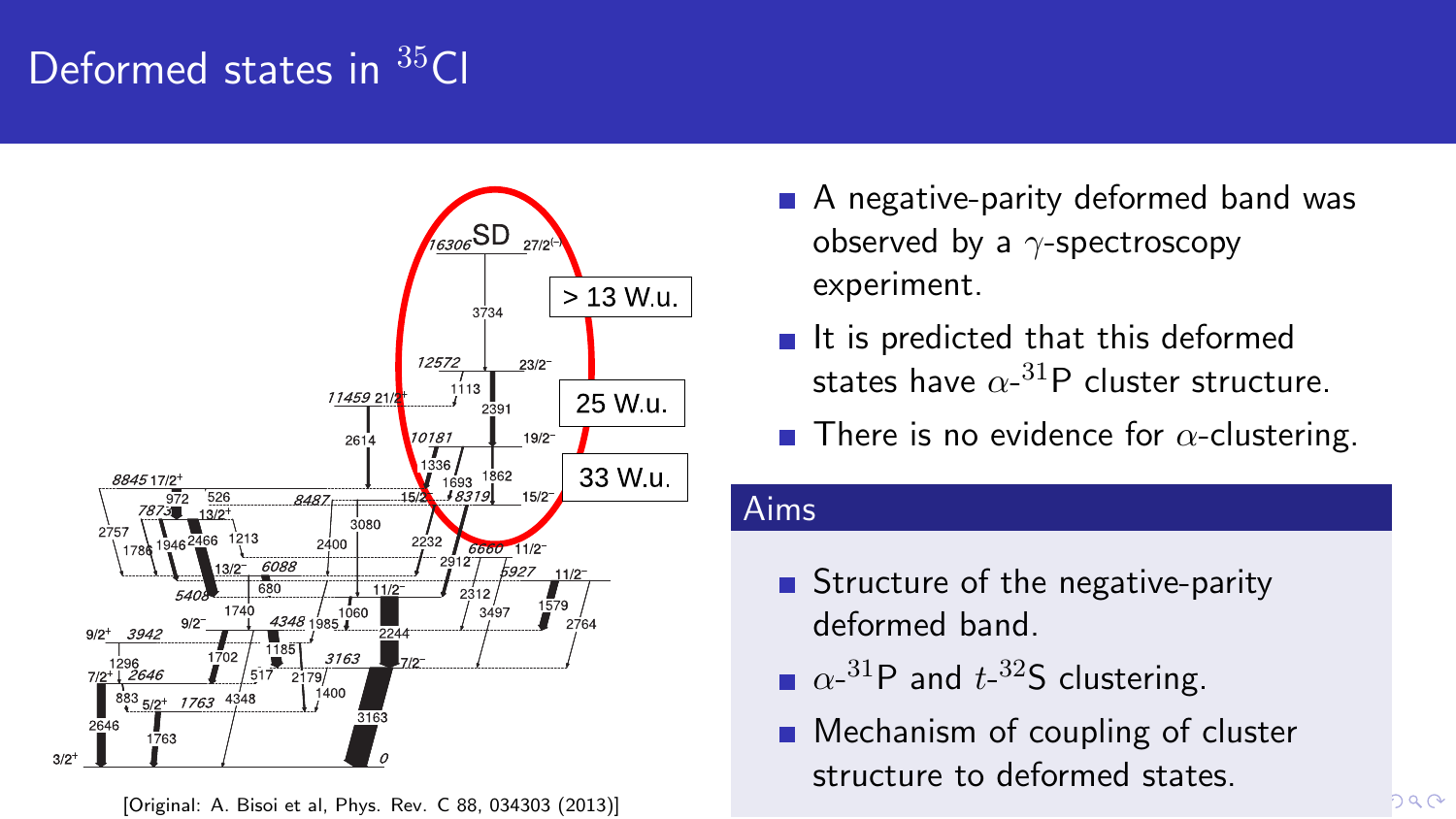# Deformed states in <sup>35</sup>Cl



[Original: A. Bisoi et al, Phys. Rev. C 88, 034303 (2013)]

- A negative-parity deformed band was observed by a *γ*-spectroscopy experiment.
- $\blacksquare$  It is predicted that this deformed states have  $\alpha$ - $^{31}$ P cluster structure.
- **There is no evidence for**  $\alpha$ **-clustering.**

#### Aims

- Structure of the negative-parity deformed band.
- $\alpha$ <sup>-31</sup>P and  $t$ <sup>-32</sup>S clustering.
- **Mechanism of coupling of cluster** structure to deformed states.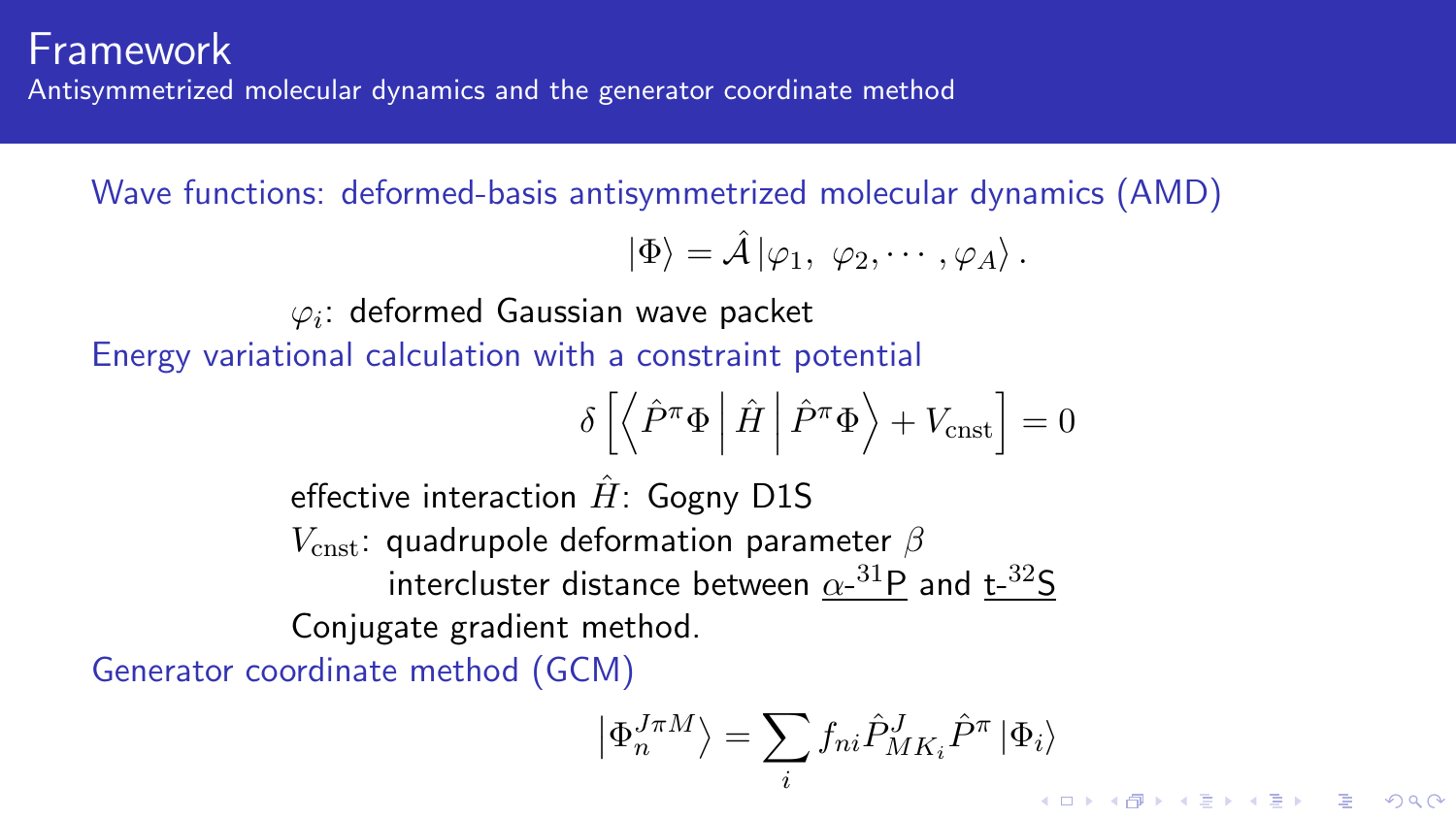## Framework

Antisymmetrized molecular dynamics and the generator coordinate method

Wave functions: deformed-basis antisymmetrized molecular dynamics (AMD)

$$
|\Phi\rangle = \hat{\mathcal{A}} |\varphi_1, \varphi_2, \cdots, \varphi_A\rangle.
$$

## $\varphi_i$ : deformed Gaussian wave packet

Energy variational calculation with a constraint potential

$$
\delta \left[ \left\langle \hat{P}^{\pi} \Phi \right| \hat{H} \left| \hat{P}^{\pi} \Phi \right\rangle + V_{\text{cnst}} \right] = 0
$$

effective interaction  $H$ <sup> $\cdot$ </sup> Gogny D1S *V*cnst: quadrupole deformation parameter *β* intercluster distance between  $\alpha$ <sup>-31</sup>P and t-<sup>32</sup>S Conjugate gradient method.

Generator coordinate method (GCM)

$$
\left|\Phi_n^{J\pi M}\right\rangle = \sum_i f_{ni} \hat{P}^J_{MK_i} \hat{P}^\pi \left|\Phi_i\right\rangle
$$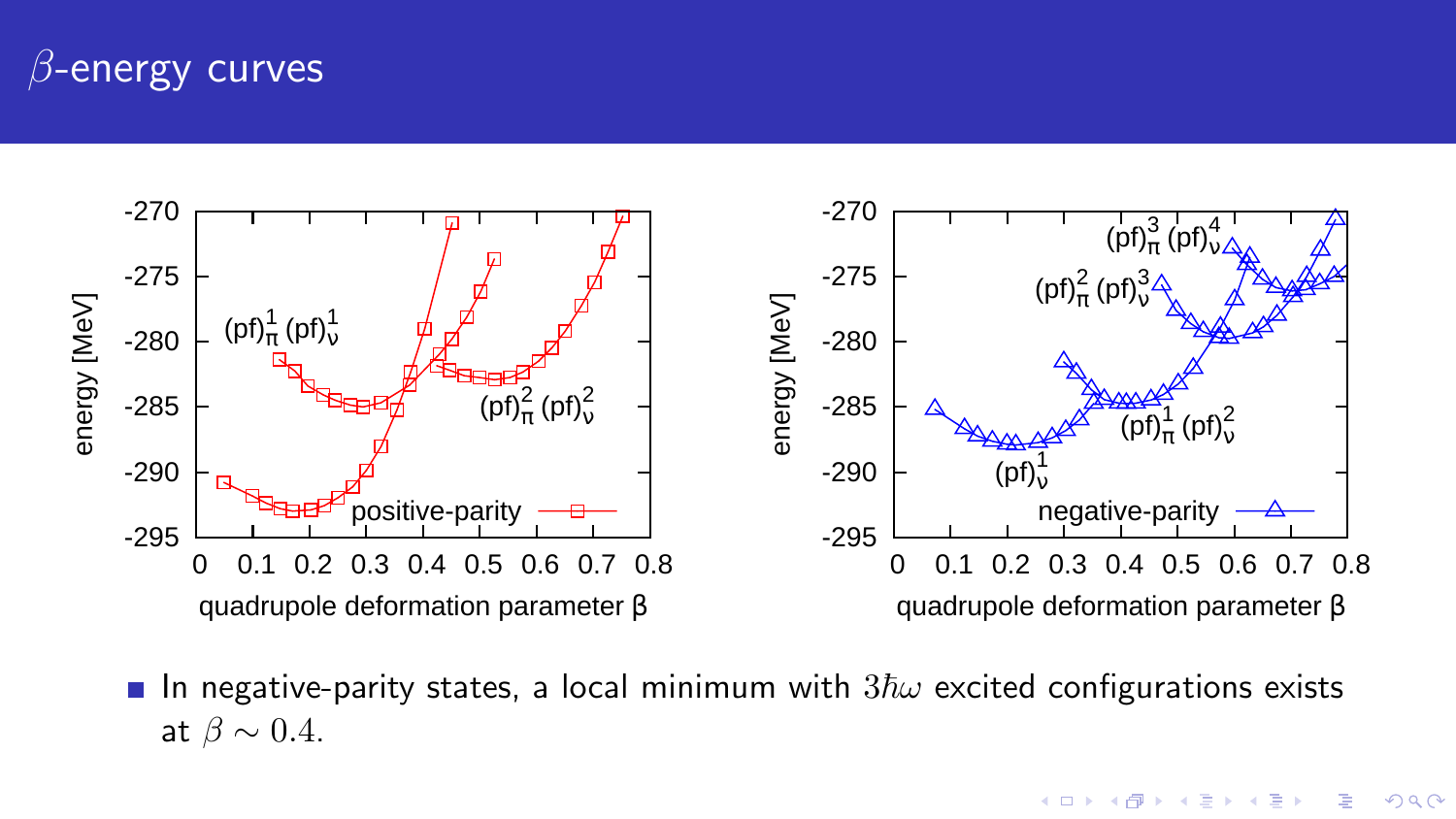## *β*-energy curves



In negative-parity states, a local minimum with  $3\hbar\omega$  excited configurations exists at  $\beta \sim 0.4$ .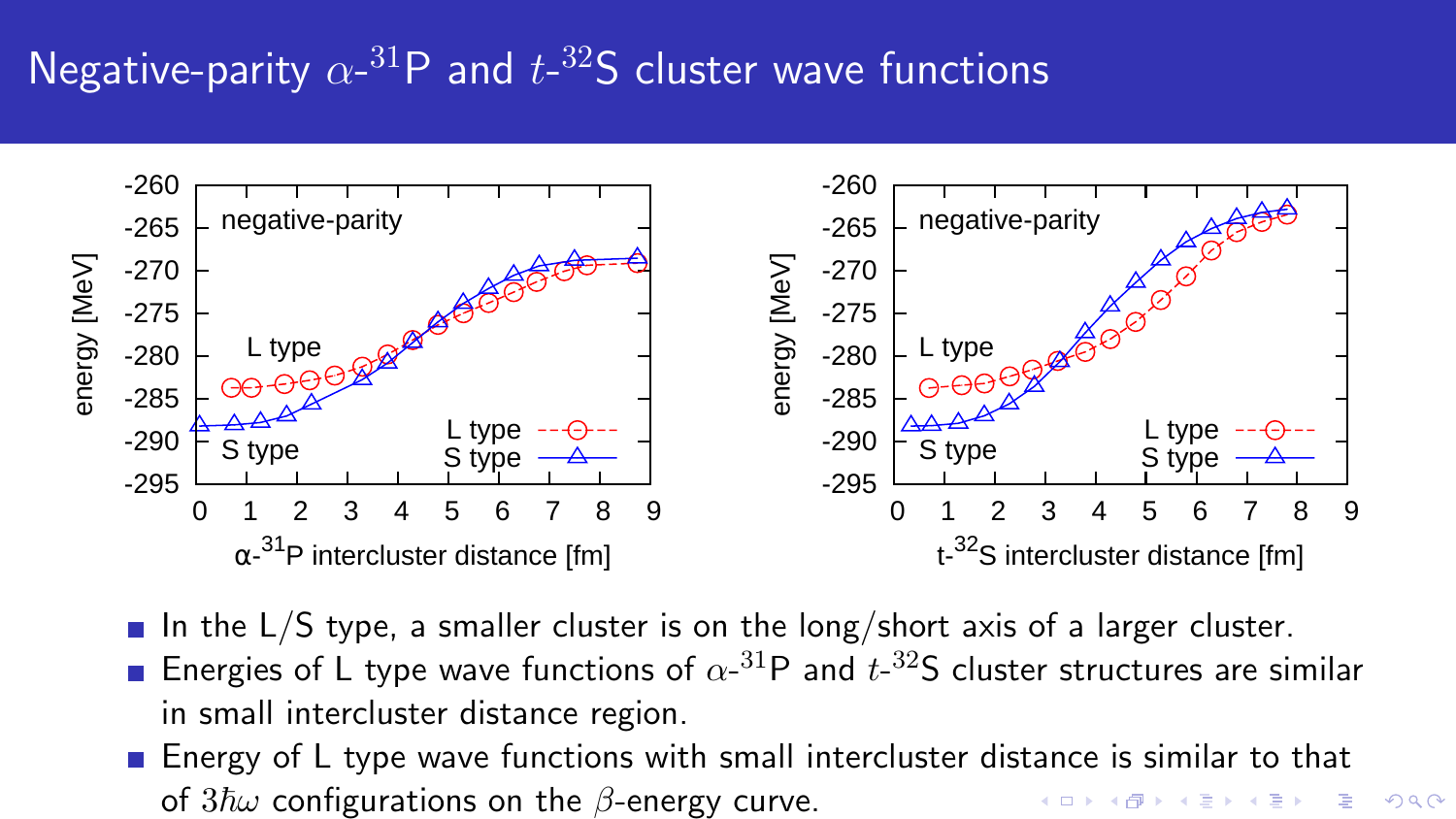# Negative-parity  $\alpha$ <sup>-31</sup>P and  $t$ <sup>-32</sup>S cluster wave functions



- In the  $L/S$  type, a smaller cluster is on the long/short axis of a larger cluster.
- Energies of L type wave functions of  $\alpha$ -<sup>31</sup>P and  $t$ -<sup>32</sup>S cluster structures are similar in small intercluster distance region.
- **E** Energy of L type wave functions with small intercluster distance is similar to that of 3ℏ*ω* configurations on the *β*-energy curve.

 $2990$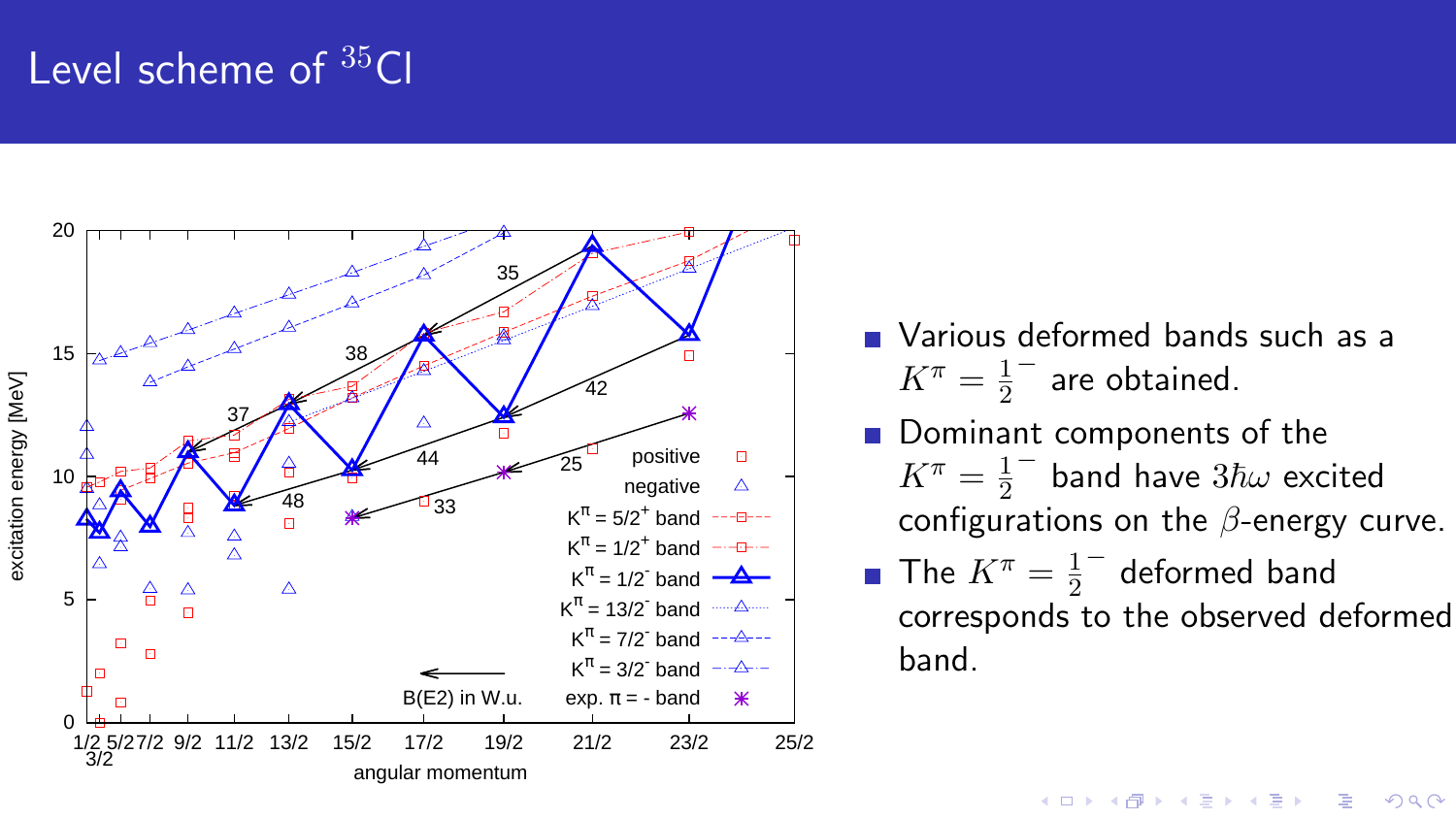# Level scheme of <sup>35</sup>Cl



- **Narious deformed bands such as a**  $K^{\pi} = \frac{1}{2}$  $\frac{1}{2}^{-}$  are obtained.
- Dominant components of the  $K^{\pi} = \frac{1}{2}$  $\frac{1}{2}^{-}$  band have  $3\hbar\omega$  excited configurations on the *β*-energy curve.
- The  $K^{\pi} = \frac{1}{2}$  $\frac{1}{2}^{-}$  deformed band corresponds to the observed deformed band.

K ロ > K @ > K 할 > K 할 > 1 할 : ⊙ Q Q^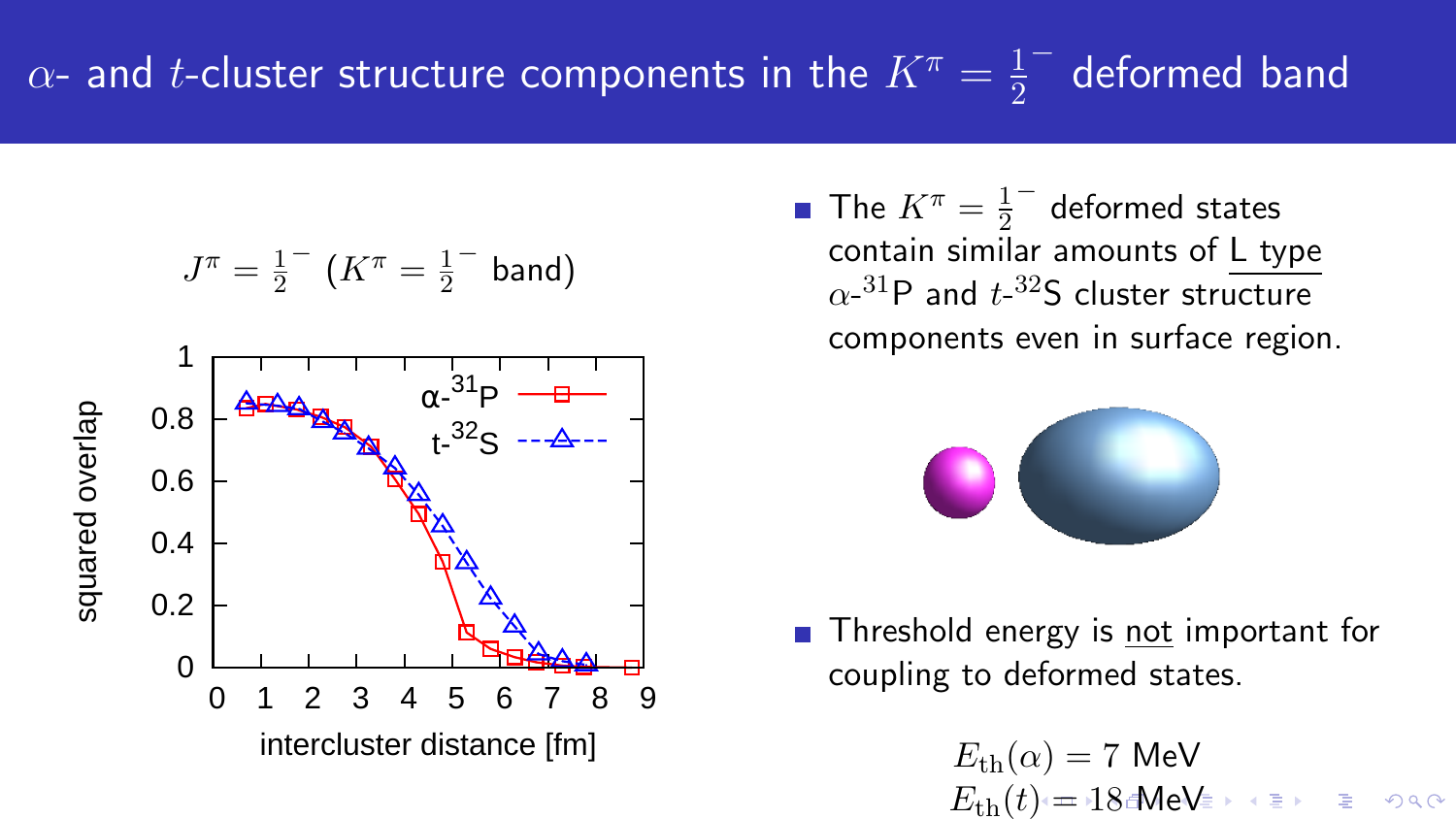$$
J^{\pi} = \frac{1}{2} \left( K^{\pi} = \frac{1}{2} \quad \text{band} \right)
$$



The  $K^{\pi} = \frac{1}{2}$  $\frac{1}{2}^{-}$  deformed states contain similar amounts of L type  $\alpha$ <sup>-31</sup>P and  $t$ <sup>-32</sup>S cluster structure components even in surface region.



Threshold energy is not important for coupling to deformed states.

> $E_{\text{th}}(\alpha) = 7$  MeV  $E_{\text{th}}(t) = 18$  MeV  $\leftrightarrow$   $\leftrightarrow$   $\Rightarrow$   $\leftrightarrow$   $\circ$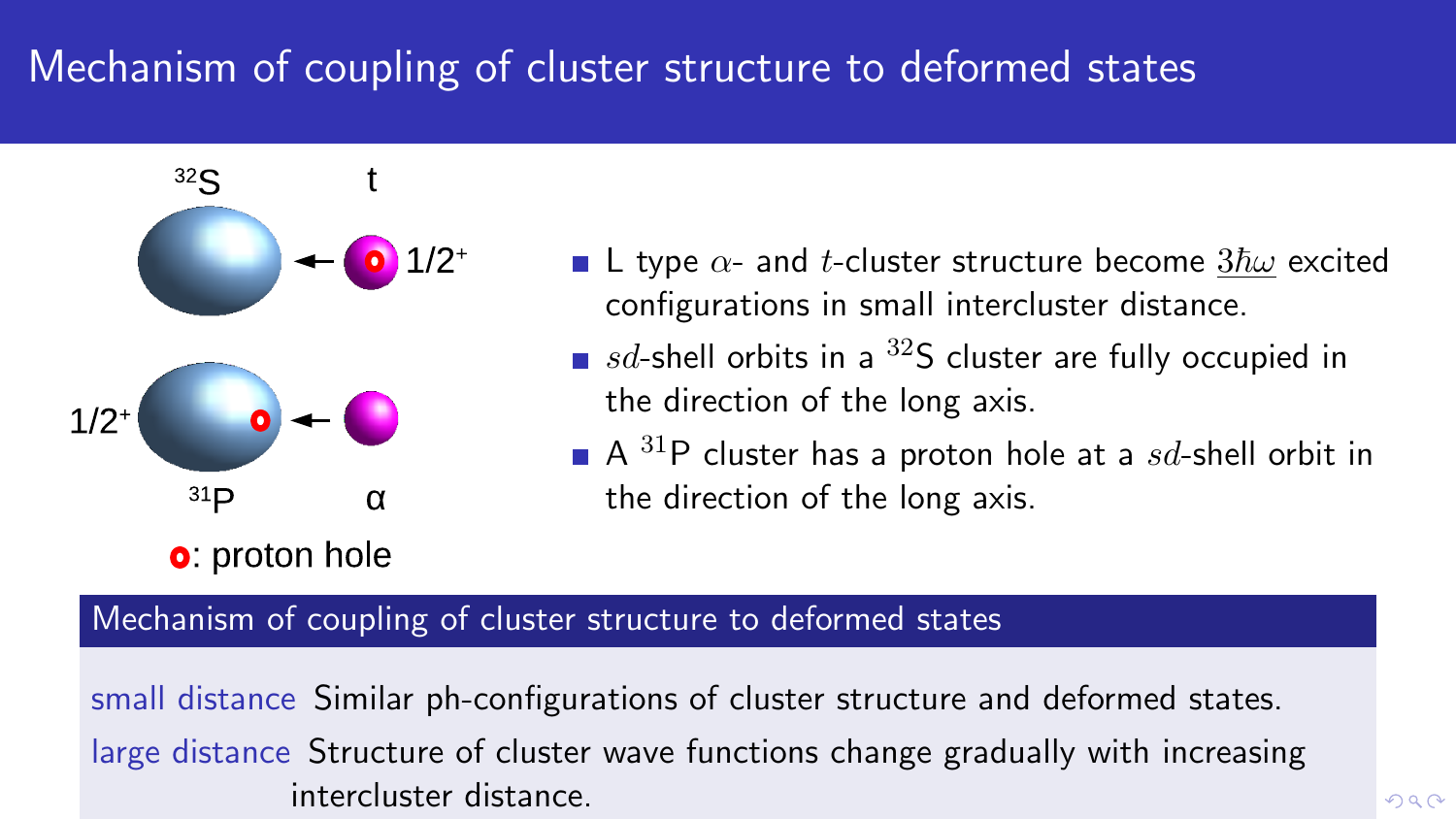# Mechanism of coupling of cluster structure to deformed states



- **L** type  $\alpha$  and *t*-cluster structure become  $3\hbar\omega$  excited configurations in small intercluster distance.
- $\blacksquare$  *sd*-shell orbits in a <sup>32</sup>S cluster are fully occupied in the direction of the long axis.
	- A <sup>31</sup>P cluster has a proton hole at a *sd*-shell orbit in the direction of the long axis.

#### Mechanism of coupling of cluster structure to deformed states

small distance Similar ph-configurations of cluster structure and deformed states. large distance Structure of cluster wave functions change gradually with increasing intercluster distance.